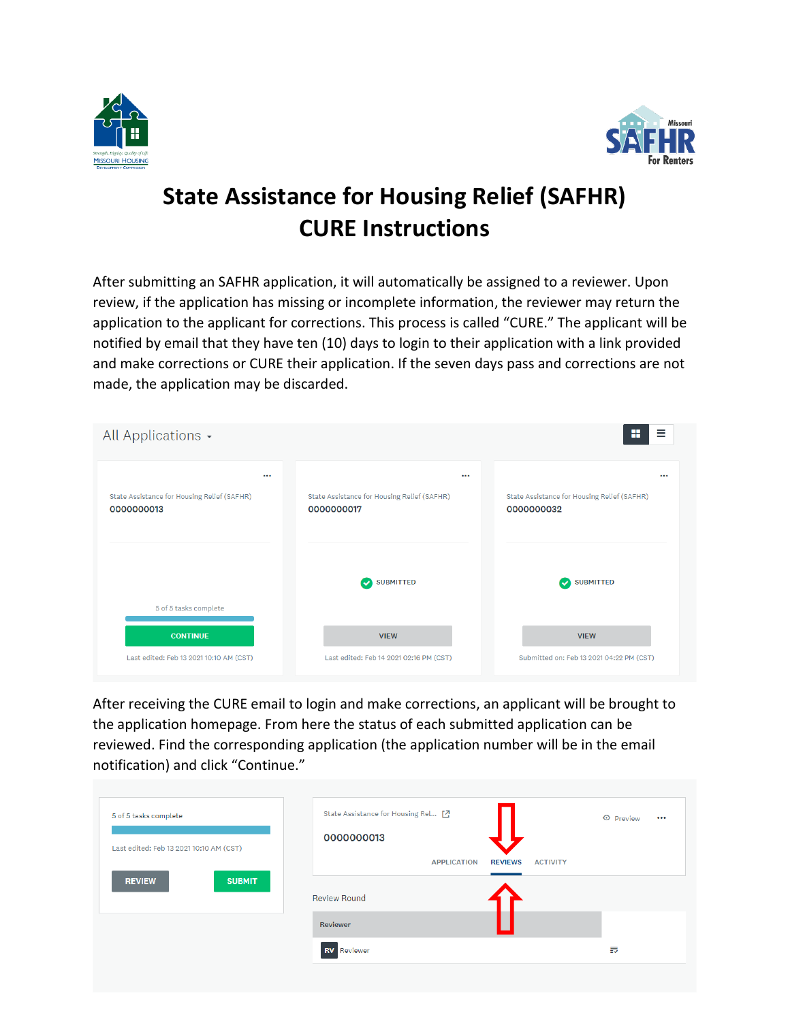



# **State Assistance for Housing Relief (SAFHR) CURE Instructions**

After submitting an SAFHR application, it will automatically be assigned to a reviewer. Upon review, if the application has missing or incomplete information, the reviewer may return the application to the applicant for corrections. This process is called "CURE." The applicant will be notified by email that they have ten (10) days to login to their application with a link provided and make corrections or CURE their application. If the seven days pass and corrections are not made, the application may be discarded.

| All Applications -                                        |          |                                                               | Ξ<br>H                                                                |
|-----------------------------------------------------------|----------|---------------------------------------------------------------|-----------------------------------------------------------------------|
| State Assistance for Housing Relief (SAFHR)<br>0000000013 | $\cdots$ | <br>State Assistance for Housing Relief (SAFHR)<br>0000000017 | $\cdots$<br>State Assistance for Housing Relief (SAFHR)<br>0000000032 |
| 5 of 5 tasks complete                                     |          | <b>SUBMITTED</b><br>$\checkmark$                              | <b>SUBMITTED</b><br>$\bullet$                                         |
| <b>CONTINUE</b>                                           |          | <b>VIEW</b>                                                   | <b>VIEW</b>                                                           |
| Last edited: Feb 13 2021 10:10 AM (CST)                   |          | Last edited: Feb 14 2021 02:16 PM (CST)                       | Submitted on: Feb 13 2021 04:22 PM (CST)                              |

After receiving the CURE email to login and make corrections, an applicant will be brought to the application homepage. From here the status of each submitted application can be reviewed. Find the corresponding application (the application number will be in the email notification) and click "Continue."

| 5 of 5 tasks complete                   | State Assistance for Housing Rel [7 |                 | <b>⊙</b> Preview |
|-----------------------------------------|-------------------------------------|-----------------|------------------|
| Last edited: Feb 13 2021 10:10 AM (CST) | 0000000013                          |                 | $\cdots$         |
| <b>SUBMIT</b>                           | <b>APPLICATION</b>                  | <b>REVIEWS</b>  |                  |
| <b>REVIEW</b>                           | <b>Review Round</b>                 | <b>ACTIVITY</b> |                  |
|                                         | Reviewer                            |                 |                  |
|                                         | <b>RV</b><br>Reviewer               |                 | 表                |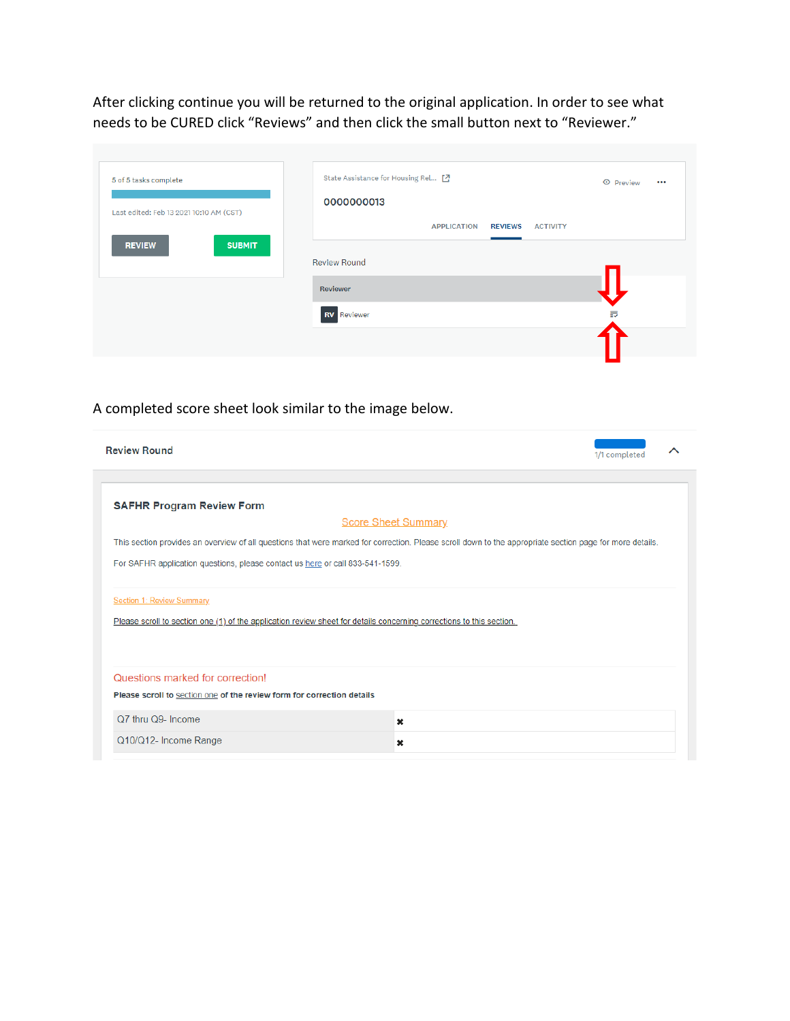After clicking continue you will be returned to the original application. In order to see what needs to be CURED click "Reviews" and then click the small button next to "Reviewer."

| 5 of 5 tasks complete                   | State Assistance for Housing Rel [7]                    | ← Preview<br>$\bullet\bullet\bullet$ |
|-----------------------------------------|---------------------------------------------------------|--------------------------------------|
| Last edited: Feb 13 2021 10:10 AM (CST) | 0000000013                                              |                                      |
|                                         | <b>APPLICATION</b><br><b>REVIEWS</b><br><b>ACTIVITY</b> |                                      |
| <b>SUBMIT</b><br><b>REVIEW</b>          | <b>Review Round</b>                                     |                                      |
|                                         |                                                         |                                      |
|                                         | Reviewer                                                |                                      |
|                                         | <b>RV</b> Reviewer                                      | 表                                    |
|                                         |                                                         |                                      |

# A completed score sheet look similar to the image below.

| <b>Review Round</b>                                                                                                                                      | 1/1 completed              |
|----------------------------------------------------------------------------------------------------------------------------------------------------------|----------------------------|
|                                                                                                                                                          |                            |
| <b>SAFHR Program Review Form</b>                                                                                                                         |                            |
|                                                                                                                                                          | <b>Score Sheet Summary</b> |
| This section provides an overview of all questions that were marked for correction. Please scroll down to the appropriate section page for more details. |                            |
| For SAFHR application questions, please contact us here or call 833-541-1599.                                                                            |                            |
| <b>Section 1: Review Summary</b>                                                                                                                         |                            |
| Please scroll to section one (1) of the application review sheet for details concerning corrections to this section.                                     |                            |
| Questions marked for correction!                                                                                                                         |                            |
| Please scroll to section one of the review form for correction details                                                                                   |                            |
| Q7 thru Q9- Income                                                                                                                                       | ×                          |
| Q10/Q12- Income Range                                                                                                                                    | ×                          |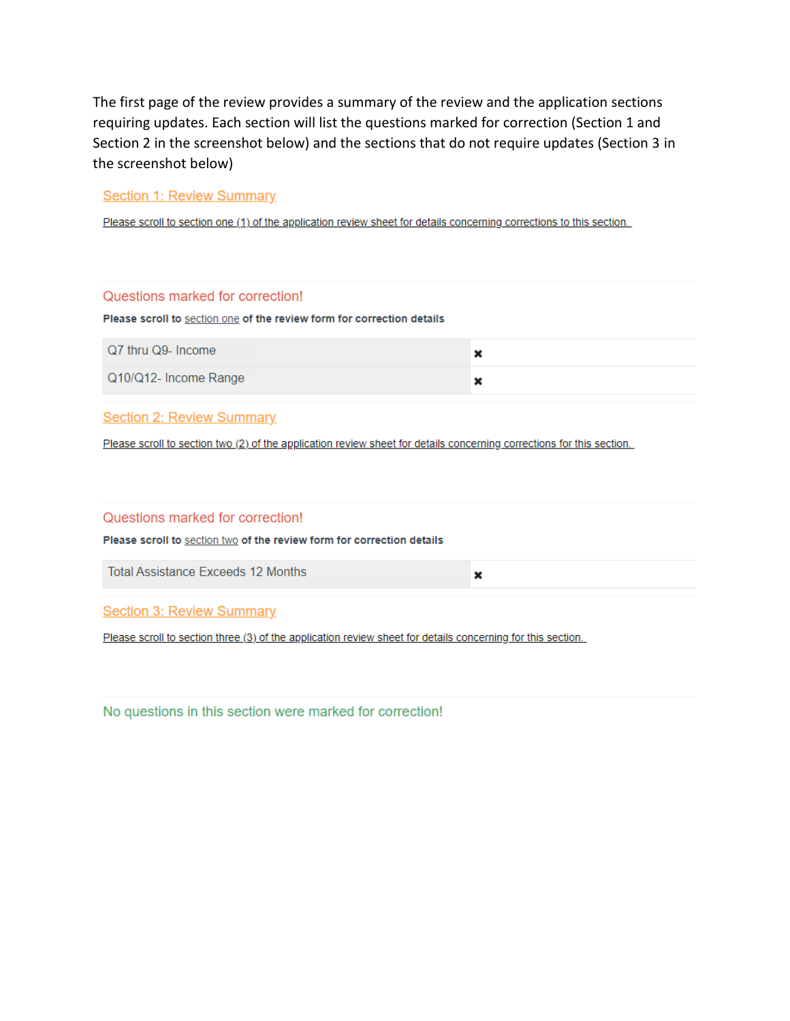The first page of the review provides a summary of the review and the application sections requiring updates. Each section will list the questions marked for correction (Section 1 and Section 2 in the screenshot below) and the sections that do not require updates (Section 3 in the screenshot below)

## **Section 1: Review Summary**

Please scroll to section one (1) of the application review sheet for details concerning corrections to this section.

| Questions marked for correction!                                       |  |
|------------------------------------------------------------------------|--|
| Please scroll to section one of the review form for correction details |  |
| Q7 thru Q9- Income                                                     |  |
| Q10/Q12- Income Range                                                  |  |

#### **Section 2: Review Summary**

Please scroll to section two (2) of the application review sheet for details concerning corrections for this section.

#### Questions marked for correction!

Please scroll to section two of the review form for correction details

**Total Assistance Exceeds 12 Months** 

×

**Section 3: Review Summary** 

Please scroll to section three (3) of the application review sheet for details concerning for this section.

No questions in this section were marked for correction!